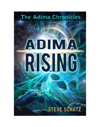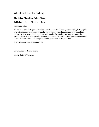# Absolute Love Publishing

#### **The Adima Chronicles: Adima Rising**

**Published** by Absolute Love

Publishing USA

All rights reserved. No part of this book may be reproduced by any mechanical, photographic, or electronic process, or in the form of a phonographic recording, nor may it be stored in a retrieval system, transmitted, or otherwise be copied for public or private use - other than specific rights afforded the reader through purchase or "fair use" as brief quotations embodied in articles and reviews - without prior written permission of the publisher.

© 2015 Steve Schatz 2ndEdition 2016

Cover design by Brandi Lyons

United States of America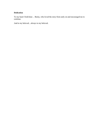#### **Dedication**

To my heart I hold dear… Becky, who loved the story from early on and encouraged me to continue.

And to my beloved…always to my beloved.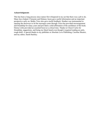#### **Acknowledgments**

This has been a long process since nature first whispered in my ear that there was a job to do. Many have helped. Clemente and Delaney Jayne gave useful information and an important perspective early on. Bobby Trice also gave useful feedback. Heather was instrumental in opening the doorways to let the messages come through. Erica has provided encouragement and friendship for many years and provided a solid affirmation of the usefulness of the book. Denise Little provided an essential boost at a critical time. Thanks to Cheryl Curtis for friendship, suggestions, and being my black beard even though it required reading an early, rough draft. A special thanks to my publisher at Absolute Love Publishing, Caroline Shearer, and my editor, Sarah Hackley.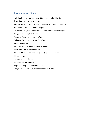### Pronunciation Guide

Belecha: Bell – a –**ha**(but with a little snot to the ha, like Bach) **Kiva: key**– va (rhymes with diva) **Techta: Tech**(ch sounds like the ck in Back) – ta; means "little toad" Kroledutz:  $Crow - la - D\bar{v}tz(u$  like goo) Pelcha:**Pel**– ha (with a ch sound like Bach); means "prairie dogs" Tinglen:**Ting**– len; Billy's name Pecheme: Peck – ĕ –may; James' name Heliotom:**He**– Lee – ă – tome; Tima's name Adima: $\check{a}$ – dim –  $\check{\alpha}$ Radelam: Rad – a –**lam**(like calm or bomb) Sodrol: So –**drawl**(roll the r a bit) Mealim:  $May - a - **lim**(with hints of a double e, like seem)$ Oloho: Ṓ –**low**– ho Arnalea: Ar – na –**lie**- ᾰ Atomasa: ᾰ – toe –**mᾰ**–sa Heyatoma: Hey – a –**tome**(like home) – ᾰ Eliaya: El – ee –**eye**– ya; means "beautiful patterns"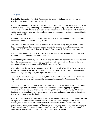## Chapter 1

The chill bit through Rory's jacket. At night, the desert air cooled quickly. He scowled and tossed another stone. "This sucks," he sighed.

Tonight was supposed to be special. After a childhood spent moving from one archaeological dig to another, Rory's family had finally settled down in one place. Rory finally had friends, real friends who he wouldn't have to leave before the next year started. Friends who didn't see him as just the short, stocky, weird kid who hated sports and had two dads. Friends who he could finally share his ritual with.

Rory looked around at the empty pit and shook his head. Camping by himself was not what he had in mind for an end-of-the-school-year party.

Sure, they had excuses. People who disappoint you always do. Billy was grounded ... again. Tima's mom was freaked about something … again. James bailed as soon as he heard Tima wasn't coming. Nothing new. End of 9th grade and all alone. Just like the end of every other grade. Different place … same story.

Why not bag it and go home? A snack. A real bed. It'd sure be more comfortable. He hesitated. The letter from his mom had come that afternoon.

It'd been nine years since Rory had seen her. Nine years since she'd gotten tired of hopping from dig to dig and country and country, making up stories with Rory while his dad spent the days excavating ruins with grad students. She'd left when he was five.

Months had passed since she had so much as called, and now, all of a sudden, she wanted a son. Rory wasn't buying it, but his dad said she might win in court. He was probably talking to the lawyer now, trying to stay calm, and figure out what to do.

*This is better than listening to all that*, thought Rory. *Even if I am alone.* He looked down into the pit. *At least the hole isn't too bad*. *Turned out pretty good, actually. Maybe the best one yet.*

Every year since his mother had left, whenever they got to a new dig, Rory would find the place he felt was right and start a hole. He didn't really know why he was digging, except that everyone else was digging and he wanted something of his own. As he grew, he got better at digging and planning, knowing how to make the right shape and get the sides nice and straight. That's when he developed the ritual.

The first night the hole was deeper than he was tall, he'd build a fire at the bottom and he'd spend the night. He'd watch the stars and the sunrise, and celebrate his accomplishment. The first time he did it, he was only seven. Dad had tried to talk him out of it, but he couldn't. The next morning, Rory had felt spectacular. He'd done it every year since except one – the year of jungle fever - when he and Dad got so sick they couldn't get out of bed for two weeks and couldn't do much for two more weeks after that. That was the year they had met Leon.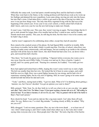Officially the camp cook, Leon had spent a month nursing Rory and his dad back to health. When they went back to the States, to the visiting professor job Dad always took as he wrote up his findings and planned the next expedition, Leon came along, moving not only into the house, but into Dad's room. It had taken Rory a while to get used to the idea of having two dads, but now it was just how things were. The only time Rory regretted living with his dad was at the beginning of the school year. Every year it was a new school, a whole school full of kids he didn't know, and every year he was the new kid trying to make new friends.

It wasn't easy. Until this year. This year, they weren't moving on again. The knowledge that he'd get to stick around for longer than a few months had set Rory's mind at ease, and he'd made friends much more quickly. This year, he still dug his hole, but this time it was in his country and he hadn't dug it alone.

And he wasn't supposed to be celebrating alone either, except they had all canceled.

Rory stared at the cracked screen of his phone. He had figured Billy would be in trouble. Billy was always in trouble, but he didn't think it would stop him. First day of school, when Rory was sitting out under some cottonwoods, cold and hungry, but not wanting to go inside to the cafeteria and deal with all the faces he didn't know, this short blond kid had come over, sat down with a grin, and tossed him half a burrito.

"Hey there," he'd said, his green eyes twinkling. "I figured, before everyone else warns you to stay away from the eeevil Billy Fuller, I'd come over and say hi. Have a burrito. I made it myself, and I'm a pretty good cook." Pausing for a moment, he'd added, "You really got two dads?"

Rory had sighed and looked back at Billy, hoping this wasn't some weird way to start a fight. The kid was smaller than him but wiry. He looked like he'd been in some scrapes, and could hold his own in a fight. Rory was a good fighter because he was strong, and he had a lot of experience winning fights, but he was sick of fighting. Still, he wasn't going to let some smartmouth kid talk bad about his dad and Leon.

"Yeah," said Rory, staring hard at Billy. "I got two dads. What of it? I'm thinking about getting a hamster, too, but I haven't decided. You got an opinion you want to share?"

Billy grinned. "Huh. Neat. So, do they both try to tell you what to do or can you play 'em against each other? That's what I'd do. The fathers I mean. I'd just ignore anything a hamster tells me to do." Still smiling, he shook his head. "If you listen to hamsters, it's all over for you, man." Then, he gestured with his half of the burrito to Rory's. "Eat. It ain't poison."

Rory shook his head. "Leon and my dad are like a tag team match. Can't play them off each other. No way. Believe me, I've tried. Big mistake." Looking closely at Billy, he added, "Why are you evil?"

Billy shrugged. "I ask too many questions. Plus, my ma is the town drunk … or at least one of 'em. I don't mind saying it, and I don't really mind when others say it, but I also don't mind saying what everyone else is too. Most people don't like that." He took a big bite of his burrito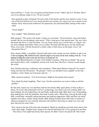and eyed Rory's. "Look: Are you gonna eat that burrito or not? I didn't spit in it. Promise. But if you're too delicate, hand it over. I'll eat it myself."

Rory grinned in spite of himself. He took a bite of the burrito and his eyes started to close. It was one of the best burritos he'd ever tasted and that was saying a lot, since Leon was a master in the kitchen. Rory chewed and swallowed. He opened his eyes and found Billy staring at him with a smile.

"Good. Right?"

Rory nodded. "Most definitely good."

Billy grinned. "The secret is the beans. I make my own beans." He lowered his voice and looked around, like he was divulging a state secret. "That's what gives it the special taste. The way I give the beans that flavor is I pre-fart them. You see, beans always give you the farts, so I figure, you eat some cabbage and chilies while you're cookin' the beans and that gives you the mucho gas. Then, every hour, I lift the lid and let a whole volley of farts loose on the beans. Gives 'em that perfect flavor."

Rory stared at Billy, a mouthful of burrito half eaten in his mouth, not sure whether to spit it out or bust up laughing. Billy finished his half, wiped his fingers on his jeans and lay back, looking at the sky. "I was thinking of selling them at the county fair. Don't know if I should call 'em

Billy's Butt Blasted Burritos or Fuller's Fart Fluffed Yummies. What do you think?" He sat up and stared at Rory with a completely serious look on his face, like Rory's answer would change the world.

Rory finished chewing, swallowed, and considered. "What about Burritos Especial? No need to bring your butt into the picture." He grinned. "And if you decided to put a graphic on the side … somehow, I don't think you'd increase sales by ..."

Billy raised an eyebrow. "You'll never know. Might be the purtiest butt around."

Rory shook his head, laughing. "Don't care. Not the connection you want to make to sell the product."

By that time, lunch was over and Rory had his first friend. Billy spent plenty of time at Rory's house. He wasn't that interested in Javier's archaeology, but when Leon was cooking, Billy was there helping. He also helped Rory do and finally understand math. Billy had a way of describing, then making him work the problems, that made it make sense. When Rory went up the hill to dig, Billy would help, constantly asking questions and making suggestions. Billy and Rory ate lunch together most days, usually sitting outside, Billy talking nonstop about other kids or teachers or whatever program he was currently obsessed with and Rory throwing in a quip every now and then. But now he wasn't here.

Rory stood on the lip of the hole and considered. Maybe he should just go back home and try this some other night. Tonight wasn't going to be what he had hoped for. It was going to be just him – like always. First night had always been special. He didn't want to be pissed off. That would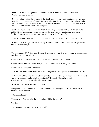ruin it. Then he thought again about what he had left at home. *Nah, this is better than dealing with that*, he thought.

Rory jumped down into the hole and lit the fire. It caught quickly and soon the pinion sap was bubbling, letting loose one of Rory's favorite smells. Inhaling with pleasure, he sat back against the rocky side of the hole and watched the smoke rise up toward the stars. Slowly, he started to relax. So what if no one came. This was good.

Rory looked again at their handiwork. The hole was deep and wide, with good, straight walls. He and his friends had dug and carried and hacked the hard earth for months, and now it was finished. Over seven feet across, nearly six feet deep, with a flat sand floor.

"I'll make a ladder with that lumber in the shed next week," he said. "Then it will be finished."

An owl hooted, scaring dinner out of hiding. Rory laid his head back against the hard packed dirt wall and closed his eyes.

"Arr iiiiieeeeeeee!!!" A dark form dropped down from above, a deep growl rising to a scream as it reared up, long arms reaching.

Rory's head jerked forward, then back, and slammed against the wall. "Oww!"

Then he saw his attacker. "Billy! You jerk!" Rory rubbed his head and glared. Billy

snorted. "Mess your pants, Compadre?"

"No, but I got a nice lump, butt head. How'd you get out? I thought you were grounded for life."

"Life wasn't all that long this time. Suzie called an hour ago. She got in trouble up in Denver and Mommy ran right out to save her baby from the evil police." He grinned. "Of course I promised to stay home and think about what I had done." Rory

cocked his head. "What did you do this time?"

Billy grinned. "Can't remember. Oh, wait. There was something about Ms. Horselick and a portrait in my math book."

"You missed one?"

"Front cover. I forgot to take the book jacket off. She did and …"

Rory hooted.

"She's gonna make me buy a new one. \$50!"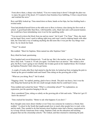From above them, a sharp voice barked, "You two wanna keep it down? I thought the plan was to enjoy the quiet of the desert. If I wanted to hear brainless boys babbling, I'd have stayed home and watched the news."

Rory and Billy looked up. Tima stared down at them, hands on her hips, her face holding back a twisted smile.

Tima had plunked herself down at the table next to Rory in history class during his first week at school. A good head taller than Rory, with beautiful, curly, black hair and a self-assured manner, she would have been intimidating were it not for her sparkling smile.

"You moved in down the block from me and my mom," she'd said. "I'm Tima." Then, she stuck out her hand. Rory wasn't used to talking right away and wasn't used to shaking hands with other kids, but Tima had a way of making anything she did seem like it was just the way things were done. So, he shook her hand.

"Tima?" he asked.

She nodded. "Short for Septima. Mom named me after Septima Clark."

Rory tilted his head, questioning.

Tima laughed and waved dismissively. "Look her up. She's the teacher, not me." Then she shot him a fiery look. "I mean it. I'll ask you again. You better have an answer." She smiled a slow grin, but Rory wasn't going to test whether she'd make good on her implied threat. He'd looked up Septima Poinsette Clark when he got home.

A couple of weeks after Rory had started to dig the hole, he looked up from swinging the pick to break up the gravel-studded earth and found Tima sitting on the growing pile of dirt.

"What are you doing, Rory?" she'd asked.

"Digging a hole," he replied, panting, glad to have a break. The pick was heavy, but it was the only thing that busted up the dirt into small enough chunks that he could haul it away.

Tima nodded and cocked her head. "What's a citizenship school?" No explanation, no expression, just the question hanging in the air.

Rory considered Tima, sitting so calmly on the growing pile of dirt and rocks. "What do I get if I know the answer?"

Tima cracked her knuckles. "Better to ask what happens if you don't."

Rory thought some more about whether or not Tima was someone he wanted as a friend, then nodded. "A school in the South that taught people how to teach other people how to read, write, and do math. They needed to do that because most Southern states had a literacy requirement to try to keep African Americans from voting. Septima Clark ran the education and teaching program that ran the citizenship schools." He winked, and then returned to slamming the pick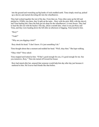into the ground and wrenching up big hunks of rock-studded earth. Tima simply stood up, picked up a shovel, and started shoveling dirt into the wheelbarrow.

They had worked together the rest of the day. From then on, Tima often came up the hill and pitched in. If Billy was there, they'd split up the tasks – Rory with the pick, Billy with the shovel, and Tima hauling dirt. Once the hole got too deep for the wheelbarrow, it went slower. They had to haul the dirt out with the bucket. One day, about a month later, when it was just Rory and Tima, and they were heading down the hill after an afternoon of digging, Tima turned to him.

"Rory?"

"Yeah?"

"Why are you digging a hole?"

Rory shook his head. "I don't know. It's just something I do."

Tima thought about that a moment and nodded her head. "Well, okay then." She kept walking.

"Okay what?" Rory asked.

Tima stopped and looked at him. "If that's good enough for you, it's good enough for me. See you tomorrow, Rory." Then she turned off toward her house.

Rory had stared after her, amazed that someone would help him day after day just because it mattered to him. He'd never had friends like that before.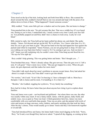## Chapter 2

Tima stood on the lip of the hole, looking back and forth from Billy to Rory. She scanned the desert around the hole, nodded to herself that no one was around and leapt with the poise of an athlete down in front of them. "What happened? I heard someone scream."

Billy nodded. "Yeah, some little girl saw a shadow and wet her pants. She ran home to change."

Tima punched him in the arm. "No girl screams like that. That was a widdle boy if I ever heard one. Seeing as you're here, I understand why. I nearly scream every time I catch your face fullon. You probably popped out and Rory didn't have a chance to look away. Lucky he's not blind."

Billy started to reply, but Tima held up her hand, pulled her phone out, and dialed. She spoke sharply. "James. Get dressed and get up the hill. We're all here. Yes, I know what time it is. It's time for you to get your buns in gear." She put her hand on her hip and tapped her foot against the packed sand while he responded. "James Nomura, you are not going back to sleep. If I don't see you walking out your back door before I count to 10, I'm coming to get you. And you know I will." James was still explaining why he couldn't come when Tima hung up and faced the two. "He says he'll be right up."

Rory couldn't help grinning. This was getting better and better. "But I thought you ..."

Tima brushed that away. "Mom's already asleep. She gets nervous. Then she gets over it. I left a note. It's all good." Tima's mom was a writer. "She just got trapped in a story. When she gets stuck, she gets depressed, and that makes her more stuck."

Tima didn't talk much about her mom's problems to anyone except James. Rory had asked her about it a couple of times, but Tima didn't want to get into details.

"No worries," she'd said. "It isn't like I'm burying it. I have a therapist I talk to. Mom has a therapist. I talk to James and his mom. I'm handling it. It is what it is."

"Besides," she'd added, wiggling her eyebrows, "Every family has something."

Rory had let it drop. He knew better than just about anyone how tiring it got to explain about families.

Tima and James were a pair – not boyfriend and girlfriend – but where there was one, the other was usually within easy reach. It was a funny match. James, with his glasses, lanky build, and orderly ways, was as quiet as Tima was loud. A third-generation farm boy, James was more comfortable with cows and herbs than people. Tima was an artist, and she painted wild swirls of color and texture on huge canvases, rocks, timbers, and nearly anything else that took her fancy. After the day's chores, Tima would usually go to James' house and they'd do homework together or sit and talk.

Tima had introduced Rory and James, but James hadn't done much digging on the hole. "Sorry, Rory," he'd said, even though Rory had never asked. "I spend all day digging, so coming up here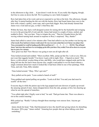in the afternoon to dig a hole … It just doesn't work for me. If you really like digging, though, feel free to come on down the hill. We're putting in a new field of peppers."

Rory had taken him at his word, and never expected to see him at the hole. One afternoon, though, after they'd started hauling the dirt out with the bucket, Rory had found James busy next to the hole with a tripod, a pulley, some rope, and a post-hole digger. Rory had already learned that James was a wait-and-see guy, so that's what Rory did.

Within the hour, they had a well-designed system for raising dirt by the bucketful and swinging it over to the growing hill of rock and dirt. James had tested it a couple of times, smiled, and nodded to Rory. "See you later. Time to irrigate the corn." Then he'd headed down the hill, waving without turning back around in response to Rory's surprised, "Hey, thanks!"

James had called to cancel a few minutes after Tima had called to say her mother was having one of her moods. Rory had known James would cancel. He was even more certain that even if James was asleep when Tima commanded, he would be heading up the hill toward them in 5 … 4 … 3 … 2 … 1 … BANG. They all heard James' back door slam and knew he was trudging up the hill to join them. Rory smiled. From all no-shows to everyone here in a just a few minutes.

How great was that? New Mexico was going to turn out all right after all.

Tima looked around and nodded. "Most excellent. Billy, pump up that fire. Look at you. Did you just wear that raggedy hoodie? You know it gets cold at night. Here – I figured as much." She threw a wild-colored, woolen thing at him, and Billy, who would have stepped aside and let the thing fall into the fire had it been anyone else, caught it and pulled it over his head without a single comment about how much it looked like it had been rolled in one of her paintings. With Tima, and only Tima, Billy minded.

Tima looked around. "Okay. Who's got eats?"

Rory pulled out his pack. "Leon cooked a bunch of stuff."

Tima grabbed and started pulling out goodies. "Look at all this! You and your dad must be scarfin' all the time."

Everyone dug in while the pinion sap in the logs popped and sent showers of sparks up toward the amazing spread of stars. James dropped down from the side, grumpy at first, but cheering up when he saw the spread of munchies.

"You called right after I finally went to bed," he said. "Dad got home late. There was almost a riot at the council meeting."

Billy perked up. "Really? I always thought those meetings were snooze fests. Anyone get punched?"

James shook his head. "Nah, Dad threatened to have the sheriff start giving tickets for disturbing the peace. \$50 a pop." James smiled. "Amazing how people shut up when talking costs them something."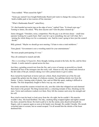Tima nodded. "What caused the fight?"

"Some guy named Cisco bought Rattlesnake Ranch and wants to change the zoning so he can build a kiddie park to lure tourists off the interstate."

"What's Rattlesnake Ranch?" asked Rory.

"It's that boarded up tourist trap on the edge of town," replied Tima. "It closed years ago." Turning to James, she asked, "Why does anyone care? Gets the place cleaned up."

James shrugged. "Outsiders, noise, competition. Plus the guy is an obvious sleaze – small time operator looking for a quick buck. Dad's sure he's up to something, but can't tell what. He's turning the whole thing over for a community vote. Said he wasn't going to have just the council decide<sup>"</sup>

Billy grinned. "Maybe we should go next meeting. I'd hate to miss a total meltdown."

Tima glared. "Government is not a wrestling match for your entertainment."

"Be more people participating if it was."

They all continued to munch and talk.

*This is everything I'd hoped for*, Rory thought, looking around at the hole, the fire, and his three friends. A smile started to spread across his face.

Just then, a grinding screech tore from the fire, and a wave of energy as powerful as a bomb slammed all four of the teenagers into the rocky wall. Almost as one, they turned and clawed at the dirt sides of the pit, instincts taking over with a primal desire to get to safety.

Rory turned his head back in horror and saw a thick, black cloud belch out of the fire and congeal like gelatin into the shape of a hideous creature. Ear-splitting shrieks tore from the flames. A heavy, burning stink of plastic, fear, and rot filled the space, making it difficult to breathe. The four desperately fought to find a way up, out, and away.

The smoke around the creature twisted into oily, arm-like clubs that whipped out and slammed them back to the ground. The thing loomed above, a churning tornado of fury, blocking out the stars. Terror and confusion washed over them. Rory felt the creature suck away his strength and his will.

Rory tried to turn his head, to look away from the vile sight, but he couldn't. His muscles wouldn't obey. His head throbbed. The inky, smoking thing wrapped tighter and tighter around his chest, around his throat. He tried to pull at it, but the smoky arms dissolved beneath his fingers, only to squeeze again as soon as his hands were through. He couldn't breathe. His mouth wrenched open to scream, but no sound escaped. Yet all around him the shrieks of the beast deafened him.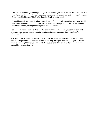*This can't be happening,*he thought. Not *possible. Home is just down the hill. Dad and Leon will hear the screaming. They'll come running. It can't be. It can't really be …*Rory couldn't breathe. Blood roared in his ears. This *is it,*he thought. Death *by … by what*?

He couldn't think any more. His lungs were begging for air. Black spots filled his vision. Beside him, grunts and moans from the others told him they too were getting crushed as the creature pulsed above them, roaring unintelligible threats and curses.

Red-hot pain shot through his chest. Tentacles sunk through his chest, grabbed his heart, and squeezed. Rory curled around the pain, gasping as the pain exploded. Can't *breathe. Pain. Darkness. Fading …*

A tremendous roar shook the ground. The next instant, a blinding flash of light and a burning wave of heat propelled the creature backward, blasting through it and tearing it apart. A nervetwisting scream split the air, slammed into Rory, overloaded his brain, and dropped him into sweet, black unconsciousness.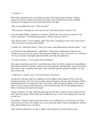### Chapter 3

When Rory opened his eyes, everything was quiet. He looked around, listening. Nothing unusual. He felt for a lump on the back of his head, where he had hit the ground. Nothing. Confused, he struggled to his feet and heard sound to his right.

Billy sat up, rubbing his neck. "What was that?"

Tima moaned. "I thought we were toast for sure. That thing wanted to wipe us out."

Everyone stared blankly, stunned for a moment. "Maybe there was some toxic spray on the wood," said James. "I smelled burning plastic. Where'd you get it, Rory?"

Rory glared at him. "You're kidding, right? That wasn't something on the wood. I don't know what it was, but it was alive and it tried to ..."

"Couldn't be," said James firmly. "It had to be some weird hallucination from the smoke." "And

we all had the same hallucination?" asked Billy. "What kind of hallucination squeezes the breath out of you? Get real, James. That thing was killing me. I don't know how we're still alive. No way we all just went night-night and had the same big, bad nightmare."

"It wasn't a dream." A voice spoke from the shadows.

They spun toward the sound, bits of sand flurrying at their feet. Billy reached over and grabbed a thick branch and held it out like a club, his wiry arms pulsing with adrenaline. Tima moved into a judo stance, ready, watching, and steady. They stood their ground, prepared to fight or try once more for the wall

"Calm down," said the voice. "I'm not the beast. I saved you."

An old man with large, dark eyes stepped out of the shadows and stopped in front of the fire, keeping his distance. He wore a loose leather shirt and leggings. His gray hair had hints of black and was pulled into two long braids. His wide mouth, corners turned up slightly, tried to hide a smile. A carved, square stone hung from a cord around his neck. He was the spitting image of Native Americans in school history books.

"Name's Belecha," he said. "Bell like ding dong and aha like a surprise, but put a little snot in it. Sorry about the attack. I didn't think they would sense you so soon. I also figured you'd be safe in your kiva."

All of Rory's attention fixed on the man and his wise, wrinkled face. It was like the rest of the world went out of focus. He couldn't see or even sense the others. Only he and Belecha, with his deep, almost infinite eyes, were there.

Rory shook his head to try to clear it. Didn't work. Instead, the world seemed to spin.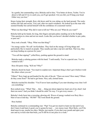In a gentle, but commanding voice, Belecha said to him, "You better sit down, Techta. You're about to fall and if I try to catch you, you'll get spooked. I let you fall, you'll bang your head. Either way you lose."

Knees losing their strength, Rory slid down until he was sitting on the hard ground. The rocky surface felt safe and secure. Very real, after too much weirdness. He looked up at the man who seemed friendly but carried himself with the confidence of a seasoned warrior.

"What was that thing? Why did it want to kill me? Who are you? What do you want?"

Belecha held up his hands, his long, thin fingers and pale palms standing out in the firelight. "One question at a time and not too much. Looks like you haven't decided whether to pee, puke, or pass out."

Rory took a breath. "Okay. What was that thing?"

"An energy sucker. We call 'em Kroledutz. They feed on the energy of living things and particularly like to munch on people. They usually just take a sip now and then. That way, they can keep feeding on a person for years."

"You call that sipping?" yelled Rory, pushing against the ground to stand.

Belecha made a calming gesture with his hand. "I said usually. You're a special case. You, it wanted to kill."

Rory felt panic rising. "Kill me? Why?"

Belecha shook his head. "Too much to explain now. Important thing is that I got it before it told the others where you are."

"Others!" Rory leapt up and headed for the side of the pit. "There are more? How many? Where do they come from?" He had to get home. Nice, safe, normal home.

Belecha touched his shoulder. "You'll never learn anything if you start shouting every time I tell you something."

Rory jerked away. "What! That ... that ... thing just about ripped my heart out of my chest! And there are more? And you think I should be calm! No way. I've got every reason …"

Belecha's body burst into a towering, glowing orb. Waves of energy washed over Rory like a blast of sun at mid-day. "HUSH!" The word shook the ground.

Rory hushed.

Belecha continued in a commanding roar. "Pup! You got too much to learn too fast and if you don't learn it and learn it good, you're gonna be toast … very messy toast. Most likely, you'll be dead meat in one, maybe two days. Maybe, just maybe, if you shut your mouth and open your ears and try to kick start that brain, you'll still be in one piece in a week."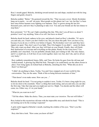Rory's mouth gaped. Belecha, shrinking toward normal size and shape, reached out with his long fingers and gently closed it.

Belecha nodded. "Better." He gestured toward the fire. "That was just a rover. Mostly Kroledutz hang out in packs – we call 'em nests. Most people on this planet can't see 'em, but they've been here since before humans were fighting over bananas. They've grown strong the last few thousand years, and now they're planning to take over. You and your friends are the last chance to stop them."

Rory protested. "Us? We can't fight something like that. Why don't you all leave us alone? I promise I won't say anything. None of us will. Just leave us alone!"

Belecha shook his head, sadness in his eyes, and placed a hand on Rory's shoulder. "It's up to you and only you. I know you don't believe me, but you chose this path. Now you have to try, because if you do not, it will be over before it begins. The Kroledutz won't rest until they have ripped you apart. They don't care if you fight. They'd be happier if you didn't – easier for them. They only want you dead. After you, they will feast on your friends. Finally, they will finish their destruction of everyone and everything on this planet. Ready for the worst news? You probably can't stop them. You are probably already dead, just waiting to fall. The only chance, and it's a small one, is if all four of you work together, learn very fast, don't die, and we all are very lucky."

Rory suddenly remembered James, Billy, and Tima. He broke his gaze from the old man and looked around. A glowing fog filled the hole. Through it, he could barely see the others frozen in place. Fear rising again, he looked back at Belecha, clenching his fists. "What did you do to them? Let them go!"

"I didn't do anything to them, Techta. You and I have stepped out of your world for this conversation. They are the same. Think of this as being between moments of time."

"That doesn't even make sense. How can you ..."

Belecha shook his head. "I'm not going to explain it now, Techta. It's been a long night for you, so let me stick to the essentials. There's a thing that needs doing, and you and only you can take the first step. Take that step and you might just survive. Might. You decide and the others will come, too. Either way, it's in your hands."

"What do you want me to do?"

"Tell the others. Make the choice. Then, you must state *your intention*. The rest will follow."

Rory looked at this mysterious old man with the impossible story and shook his head. "This is not turning out to be the evening I expected."

A grim smile tugged at Belecha's mouth, reaching the crinkles of his eyes. "Don't you like surprises?"

Rory shot him a look. "How come you know all this?"